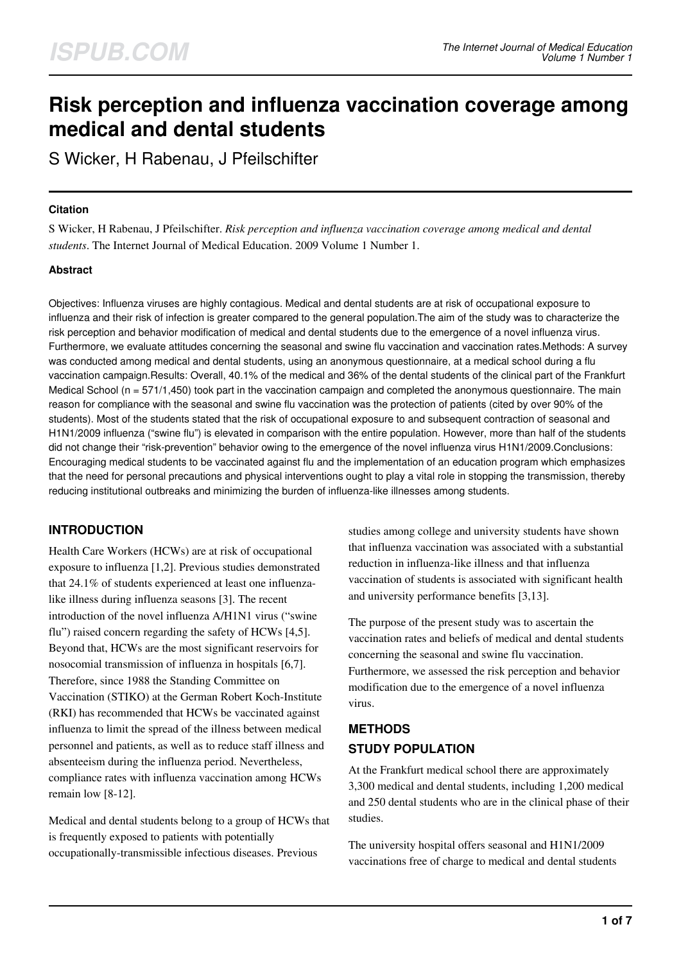# **Risk perception and influenza vaccination coverage among medical and dental students**

S Wicker, H Rabenau, J Pfeilschifter

#### **Citation**

S Wicker, H Rabenau, J Pfeilschifter. *Risk perception and influenza vaccination coverage among medical and dental students*. The Internet Journal of Medical Education. 2009 Volume 1 Number 1.

# **Abstract**

Objectives: Influenza viruses are highly contagious. Medical and dental students are at risk of occupational exposure to influenza and their risk of infection is greater compared to the general population.The aim of the study was to characterize the risk perception and behavior modification of medical and dental students due to the emergence of a novel influenza virus. Furthermore, we evaluate attitudes concerning the seasonal and swine flu vaccination and vaccination rates.Methods: A survey was conducted among medical and dental students, using an anonymous questionnaire, at a medical school during a flu vaccination campaign.Results: Overall, 40.1% of the medical and 36% of the dental students of the clinical part of the Frankfurt Medical School (n = 571/1,450) took part in the vaccination campaign and completed the anonymous questionnaire. The main reason for compliance with the seasonal and swine flu vaccination was the protection of patients (cited by over 90% of the students). Most of the students stated that the risk of occupational exposure to and subsequent contraction of seasonal and H1N1/2009 influenza ("swine flu") is elevated in comparison with the entire population. However, more than half of the students did not change their "risk-prevention" behavior owing to the emergence of the novel influenza virus H1N1/2009.Conclusions: Encouraging medical students to be vaccinated against flu and the implementation of an education program which emphasizes that the need for personal precautions and physical interventions ought to play a vital role in stopping the transmission, thereby reducing institutional outbreaks and minimizing the burden of influenza-like illnesses among students.

# **INTRODUCTION**

Health Care Workers (HCWs) are at risk of occupational exposure to influenza [1,2]. Previous studies demonstrated that 24.1% of students experienced at least one influenzalike illness during influenza seasons [3]. The recent introduction of the novel influenza A/H1N1 virus ("swine flu") raised concern regarding the safety of HCWs [4,5]. Beyond that, HCWs are the most significant reservoirs for nosocomial transmission of influenza in hospitals [6,7]. Therefore, since 1988 the Standing Committee on Vaccination (STIKO) at the German Robert Koch-Institute (RKI) has recommended that HCWs be vaccinated against influenza to limit the spread of the illness between medical personnel and patients, as well as to reduce staff illness and absenteeism during the influenza period. Nevertheless, compliance rates with influenza vaccination among HCWs remain low [8-12].

Medical and dental students belong to a group of HCWs that is frequently exposed to patients with potentially occupationally-transmissible infectious diseases. Previous

studies among college and university students have shown that influenza vaccination was associated with a substantial reduction in influenza-like illness and that influenza vaccination of students is associated with significant health and university performance benefits [3,13].

The purpose of the present study was to ascertain the vaccination rates and beliefs of medical and dental students concerning the seasonal and swine flu vaccination. Furthermore, we assessed the risk perception and behavior modification due to the emergence of a novel influenza virus.

# **METHODS STUDY POPULATION**

At the Frankfurt medical school there are approximately 3,300 medical and dental students, including 1,200 medical and 250 dental students who are in the clinical phase of their studies.

The university hospital offers seasonal and H1N1/2009 vaccinations free of charge to medical and dental students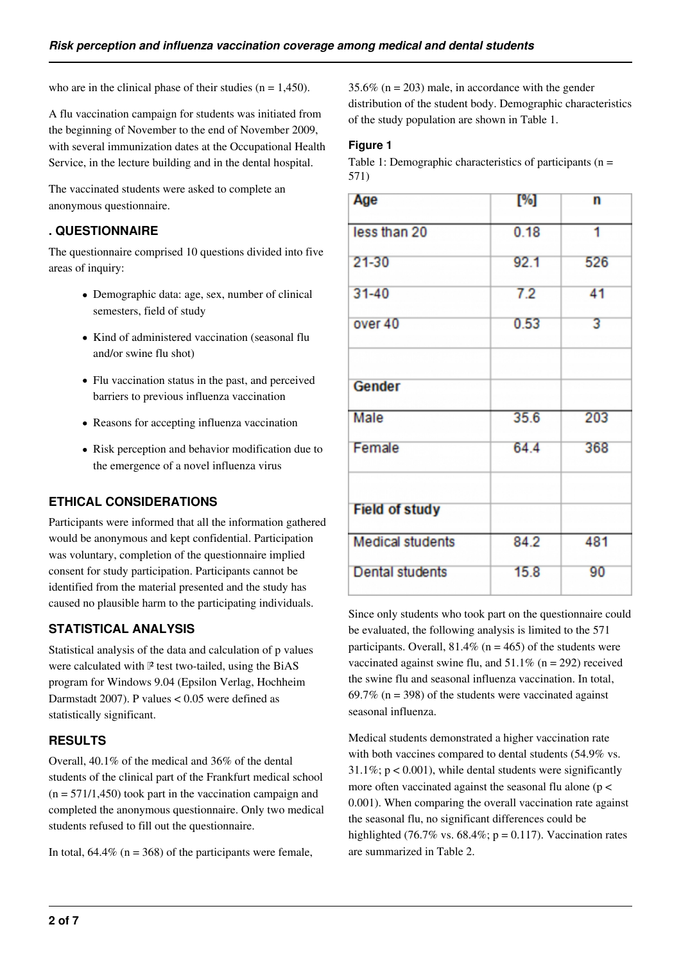who are in the clinical phase of their studies ( $n = 1,450$ ).

A flu vaccination campaign for students was initiated from the beginning of November to the end of November 2009, with several immunization dates at the Occupational Health Service, in the lecture building and in the dental hospital.

The vaccinated students were asked to complete an anonymous questionnaire.

# **. QUESTIONNAIRE**

The questionnaire comprised 10 questions divided into five areas of inquiry:

- Demographic data: age, sex, number of clinical semesters, field of study
- Kind of administered vaccination (seasonal flu and/or swine flu shot)
- Flu vaccination status in the past, and perceived barriers to previous influenza vaccination
- Reasons for accepting influenza vaccination
- Risk perception and behavior modification due to the emergence of a novel influenza virus

# **ETHICAL CONSIDERATIONS**

Participants were informed that all the information gathered would be anonymous and kept confidential. Participation was voluntary, completion of the questionnaire implied consent for study participation. Participants cannot be identified from the material presented and the study has caused no plausible harm to the participating individuals.

# **STATISTICAL ANALYSIS**

Statistical analysis of the data and calculation of p values were calculated with  $\mathbb P$  test two-tailed, using the BiAS program for Windows 9.04 (Epsilon Verlag, Hochheim Darmstadt 2007). P values < 0.05 were defined as statistically significant.

# **RESULTS**

Overall, 40.1% of the medical and 36% of the dental students of the clinical part of the Frankfurt medical school  $(n = 571/1,450)$  took part in the vaccination campaign and completed the anonymous questionnaire. Only two medical students refused to fill out the questionnaire.

In total,  $64.4\%$  (n = 368) of the participants were female,

35.6% ( $n = 203$ ) male, in accordance with the gender distribution of the student body. Demographic characteristics of the study population are shown in Table 1.

#### **Figure 1**

Table 1: Demographic characteristics of participants (n = 571)

| Age                     | [%]  | n   |
|-------------------------|------|-----|
| less than 20            | 0.18 | 1   |
| $21 - 30$               | 92.1 | 526 |
| $31 - 40$               | 7.2  | 41  |
| over 40                 | 0.53 | 3   |
|                         |      |     |
| Gender                  |      |     |
| Male                    | 35.6 | 203 |
| Female                  | 64.4 | 368 |
|                         |      |     |
| <b>Field of study</b>   |      |     |
| <b>Medical students</b> | 84.2 | 481 |
| <b>Dental students</b>  | 15.8 | 90  |

Since only students who took part on the questionnaire could be evaluated, the following analysis is limited to the 571 participants. Overall,  $81.4\%$  (n = 465) of the students were vaccinated against swine flu, and  $51.1\%$  (n = 292) received the swine flu and seasonal influenza vaccination. In total, 69.7% ( $n = 398$ ) of the students were vaccinated against seasonal influenza.

Medical students demonstrated a higher vaccination rate with both vaccines compared to dental students (54.9% vs.  $31.1\%$ ; p < 0.001), while dental students were significantly more often vaccinated against the seasonal flu alone (p < 0.001). When comparing the overall vaccination rate against the seasonal flu, no significant differences could be highlighted (76.7% vs. 68.4%;  $p = 0.117$ ). Vaccination rates are summarized in Table 2.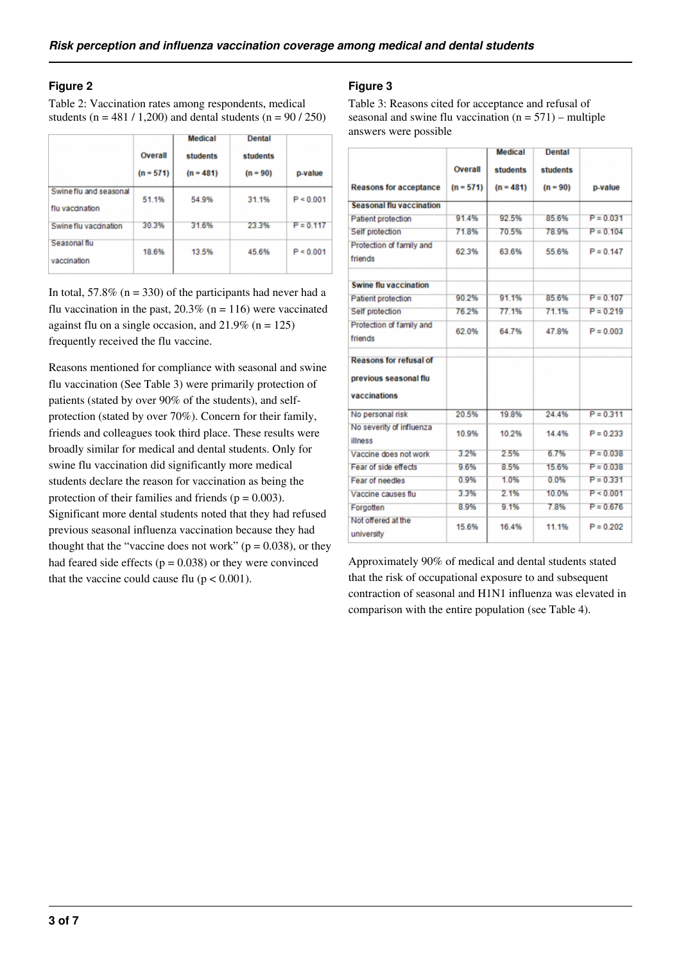# **Figure 2**

Table 2: Vaccination rates among respondents, medical students ( $n = 481 / 1,200$ ) and dental students ( $n = 90 / 250$ )

|                                           | Overall<br>$(n = 571)$ | <b>Medical</b><br>students<br>$(n = 481)$ | <b>Dental</b><br>students<br>$(n = 90)$ | p-value     |
|-------------------------------------------|------------------------|-------------------------------------------|-----------------------------------------|-------------|
| Swine flu and seasonal<br>flu vaccination | 51.1%                  | 54.9%                                     | 31.1%                                   | P < 0.001   |
| Swine flu vaccination                     | 30.3%                  | 31.6%                                     | 23.3%                                   | $P = 0.117$ |
| Seasonal flu<br>vaccination               | 18.6%                  | 13.5%                                     | 45.6%                                   | P < 0.001   |

In total,  $57.8\%$  (n = 330) of the participants had never had a flu vaccination in the past,  $20.3\%$  (n = 116) were vaccinated against flu on a single occasion, and  $21.9\%$  (n = 125) frequently received the flu vaccine.

Reasons mentioned for compliance with seasonal and swine flu vaccination (See Table 3) were primarily protection of patients (stated by over 90% of the students), and selfprotection (stated by over 70%). Concern for their family, friends and colleagues took third place. These results were broadly similar for medical and dental students. Only for swine flu vaccination did significantly more medical students declare the reason for vaccination as being the protection of their families and friends ( $p = 0.003$ ). Significant more dental students noted that they had refused previous seasonal influenza vaccination because they had thought that the "vaccine does not work" ( $p = 0.038$ ), or they had feared side effects ( $p = 0.038$ ) or they were convinced that the vaccine could cause flu  $(p < 0.001)$ .

# **Figure 3**

Table 3: Reasons cited for acceptance and refusal of seasonal and swine flu vaccination  $(n = 571)$  – multiple answers were possible

|                                     |             | <b>Medical</b> | <b>Dental</b> |             |
|-------------------------------------|-------------|----------------|---------------|-------------|
|                                     | Overall     | students       | students      |             |
| <b>Reasons for acceptance</b>       | $(n = 571)$ | $(n = 481)$    | $(n = 90)$    | p-value     |
| <b>Seasonal flu vaccination</b>     |             |                |               |             |
| <b>Patient protection</b>           | 91.4%       | 92.5%          | 85.6%         | $P = 0.031$ |
| Self protection                     | 71.8%       | 70.5%          | 78.9%         | $P = 0.104$ |
| Protection of family and<br>friends | 62.3%       | 63.6%          | 55.6%         | $P = 0.147$ |
| <b>Swine flu vaccination</b>        |             |                |               |             |
| <b>Patient protection</b>           | 90.2%       | 91.1%          | 85.6%         | $P = 0.107$ |
| Self protection                     | 76.2%       | 77.1%          | 71.1%         | $P = 0.219$ |
| Protection of family and            | 62.0%       | 64.7%          | 47.8%         | $P = 0.003$ |
| friends                             |             |                |               |             |
| <b>Reasons for refusal of</b>       |             |                |               |             |
| previous seasonal flu               |             |                |               |             |
| vaccinations                        |             |                |               |             |
| No personal risk                    | 20.5%       | 19.8%          | 24.4%         | $P = 0.311$ |
| No severity of influenza<br>illness | 10.9%       | 10.2%          | 14 4%         | $P = 0.233$ |
| Vaccine does not work               | 3.2%        | 2.5%           | 6.7%          | $P = 0.038$ |
| Fear of side effects                | 9.6%        | 8.5%           | 15.6%         | $P = 0.038$ |
| <b>Fear of needles</b>              | 0.9%        | 1.0%           | 0.0%          | $P = 0.331$ |
| Vaccine causes flu                  | 3.3%        | 2.1%           | 10.0%         | P < 0.001   |
| Forgotten                           | 8.9%        | 9.1%           | 7.8%          | $P = 0.676$ |
| Not offered at the<br>university    | 15.6%       | 16.4%          | 11.1%         | $P = 0.202$ |

Approximately 90% of medical and dental students stated that the risk of occupational exposure to and subsequent contraction of seasonal and H1N1 influenza was elevated in comparison with the entire population (see Table 4).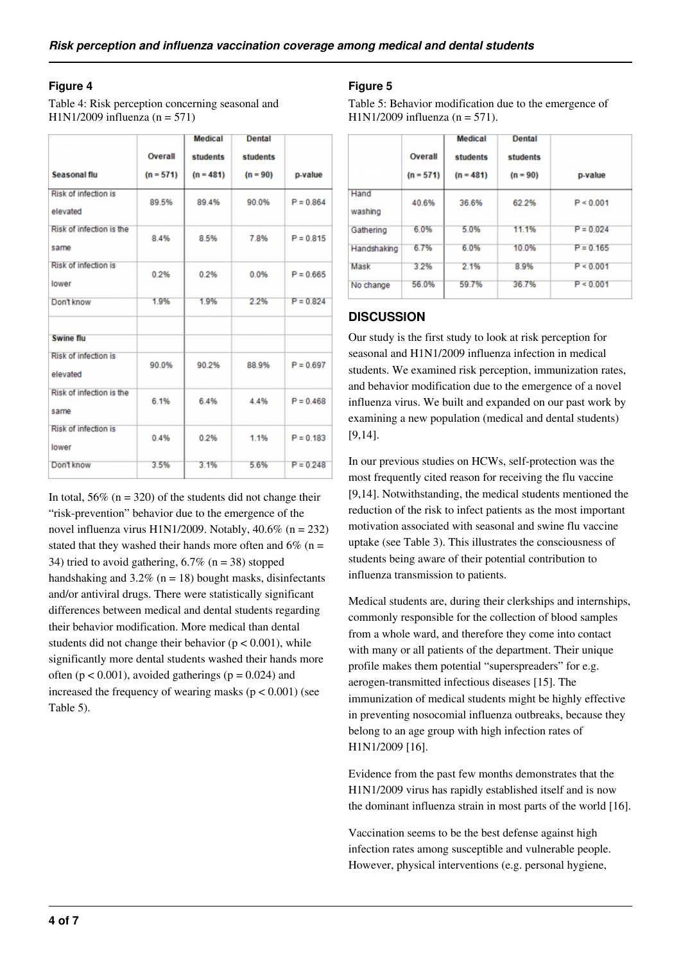#### **Figure 4**

Table 4: Risk perception concerning seasonal and H1N1/2009 influenza ( $n = 571$ )

|                                         |             | <b>Medical</b>  | <b>Dental</b>   |             |
|-----------------------------------------|-------------|-----------------|-----------------|-------------|
|                                         | Overall     | <b>students</b> | <b>students</b> |             |
| Seasonal flu                            | $(n = 571)$ | $(n = 481)$     | $(n = 90)$      | p-value     |
| <b>Risk of infection is</b><br>elevated | 89.5%       | 89.4%           | 90.0%           | $P = 0.864$ |
| Risk of infection is the<br>same        | 8.4%        | 8.5%            | 7.8%            | $P = 0.815$ |
| Risk of infection is<br>lower           | 0.2%        | 0.2%            | 0.0%            | $P = 0.665$ |
| Don't know                              | 1.9%        | 1.9%            | 2.2%            | $P = 0.824$ |
| <b>Swine flu</b>                        |             |                 |                 |             |
| <b>Risk of infection is</b><br>elevated | 90.0%       | 90.2%           | 88.9%           | $P = 0.697$ |
| Risk of infection is the<br>same        | 6.1%        | 6.4%            | 4.4%            | $P = 0.468$ |
| Risk of infection is<br>lower           | 0.4%        | 0.2%            | 1.1%            | $P = 0.183$ |
| Don't know                              | 3.5%        | 3.1%            | 5.6%            | $P = 0.248$ |

In total,  $56\%$  (n = 320) of the students did not change their "risk-prevention" behavior due to the emergence of the novel influenza virus H1N1/2009. Notably, 40.6% (n = 232) stated that they washed their hands more often and  $6\%$  (n = 34) tried to avoid gathering,  $6.7\%$  (n = 38) stopped handshaking and  $3.2\%$  (n = 18) bought masks, disinfectants and/or antiviral drugs. There were statistically significant differences between medical and dental students regarding their behavior modification. More medical than dental students did not change their behavior ( $p < 0.001$ ), while significantly more dental students washed their hands more often ( $p < 0.001$ ), avoided gatherings ( $p = 0.024$ ) and increased the frequency of wearing masks  $(p < 0.001)$  (see Table 5).

#### **Figure 5**

Table 5: Behavior modification due to the emergence of  $H1N1/2009$  influenza (n = 571).

|                 | Overall<br>$(n = 571)$ | <b>Medical</b><br>students<br>$(n = 481)$ | <b>Dental</b><br>students<br>$(n = 90)$ | p-value     |
|-----------------|------------------------|-------------------------------------------|-----------------------------------------|-------------|
| Hand<br>washing | 40.6%                  | 36.6%                                     | 62.2%                                   | P < 0.001   |
| Gathering       | 6.0%                   | 5.0%                                      | 11.1%                                   | $P = 0.024$ |
| Handshaking     | 6.7%                   | 6.0%                                      | 10.0%                                   | $P = 0.165$ |
| Mask            | 3.2%                   | 2.1%                                      | 8.9%                                    | P < 0.001   |
| No change       | 56.0%                  | 59.7%                                     | 36.7%                                   | P < 0.001   |

# **DISCUSSION**

Our study is the first study to look at risk perception for seasonal and H1N1/2009 influenza infection in medical students. We examined risk perception, immunization rates, and behavior modification due to the emergence of a novel influenza virus. We built and expanded on our past work by examining a new population (medical and dental students) [9,14].

In our previous studies on HCWs, self-protection was the most frequently cited reason for receiving the flu vaccine [9,14]. Notwithstanding, the medical students mentioned the reduction of the risk to infect patients as the most important motivation associated with seasonal and swine flu vaccine uptake (see Table 3). This illustrates the consciousness of students being aware of their potential contribution to influenza transmission to patients.

Medical students are, during their clerkships and internships, commonly responsible for the collection of blood samples from a whole ward, and therefore they come into contact with many or all patients of the department. Their unique profile makes them potential "superspreaders" for e.g. aerogen-transmitted infectious diseases [15]. The immunization of medical students might be highly effective in preventing nosocomial influenza outbreaks, because they belong to an age group with high infection rates of H1N1/2009 [16].

Evidence from the past few months demonstrates that the H1N1/2009 virus has rapidly established itself and is now the dominant influenza strain in most parts of the world [16].

Vaccination seems to be the best defense against high infection rates among susceptible and vulnerable people. However, physical interventions (e.g. personal hygiene,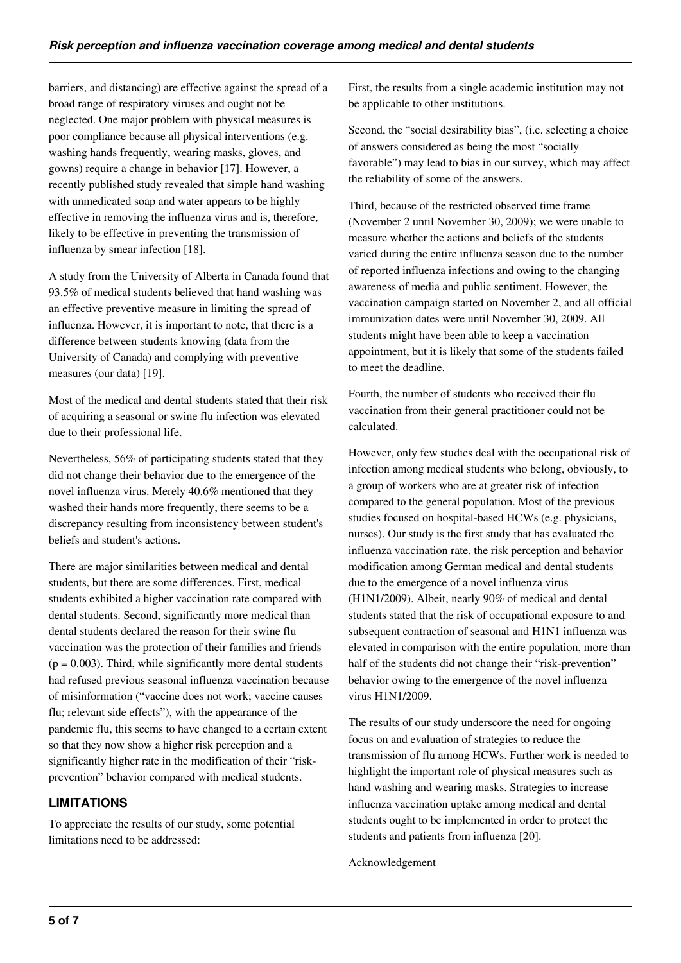barriers, and distancing) are effective against the spread of a broad range of respiratory viruses and ought not be neglected. One major problem with physical measures is poor compliance because all physical interventions (e.g. washing hands frequently, wearing masks, gloves, and gowns) require a change in behavior [17]. However, a recently published study revealed that simple hand washing with unmedicated soap and water appears to be highly effective in removing the influenza virus and is, therefore, likely to be effective in preventing the transmission of influenza by smear infection [18].

A study from the University of Alberta in Canada found that 93.5% of medical students believed that hand washing was an effective preventive measure in limiting the spread of influenza. However, it is important to note, that there is a difference between students knowing (data from the University of Canada) and complying with preventive measures (our data) [19].

Most of the medical and dental students stated that their risk of acquiring a seasonal or swine flu infection was elevated due to their professional life.

Nevertheless, 56% of participating students stated that they did not change their behavior due to the emergence of the novel influenza virus. Merely 40.6% mentioned that they washed their hands more frequently, there seems to be a discrepancy resulting from inconsistency between student's beliefs and student's actions.

There are major similarities between medical and dental students, but there are some differences. First, medical students exhibited a higher vaccination rate compared with dental students. Second, significantly more medical than dental students declared the reason for their swine flu vaccination was the protection of their families and friends  $(p = 0.003)$ . Third, while significantly more dental students had refused previous seasonal influenza vaccination because of misinformation ("vaccine does not work; vaccine causes flu; relevant side effects"), with the appearance of the pandemic flu, this seems to have changed to a certain extent so that they now show a higher risk perception and a significantly higher rate in the modification of their "riskprevention" behavior compared with medical students.

# **LIMITATIONS**

To appreciate the results of our study, some potential limitations need to be addressed:

First, the results from a single academic institution may not be applicable to other institutions.

Second, the "social desirability bias", (i.e. selecting a choice of answers considered as being the most "socially favorable") may lead to bias in our survey, which may affect the reliability of some of the answers.

Third, because of the restricted observed time frame (November 2 until November 30, 2009); we were unable to measure whether the actions and beliefs of the students varied during the entire influenza season due to the number of reported influenza infections and owing to the changing awareness of media and public sentiment. However, the vaccination campaign started on November 2, and all official immunization dates were until November 30, 2009. All students might have been able to keep a vaccination appointment, but it is likely that some of the students failed to meet the deadline.

Fourth, the number of students who received their flu vaccination from their general practitioner could not be calculated.

However, only few studies deal with the occupational risk of infection among medical students who belong, obviously, to a group of workers who are at greater risk of infection compared to the general population. Most of the previous studies focused on hospital-based HCWs (e.g. physicians, nurses). Our study is the first study that has evaluated the influenza vaccination rate, the risk perception and behavior modification among German medical and dental students due to the emergence of a novel influenza virus (H1N1/2009). Albeit, nearly 90% of medical and dental students stated that the risk of occupational exposure to and subsequent contraction of seasonal and H1N1 influenza was elevated in comparison with the entire population, more than half of the students did not change their "risk-prevention" behavior owing to the emergence of the novel influenza virus H1N1/2009.

The results of our study underscore the need for ongoing focus on and evaluation of strategies to reduce the transmission of flu among HCWs. Further work is needed to highlight the important role of physical measures such as hand washing and wearing masks. Strategies to increase influenza vaccination uptake among medical and dental students ought to be implemented in order to protect the students and patients from influenza [20].

Acknowledgement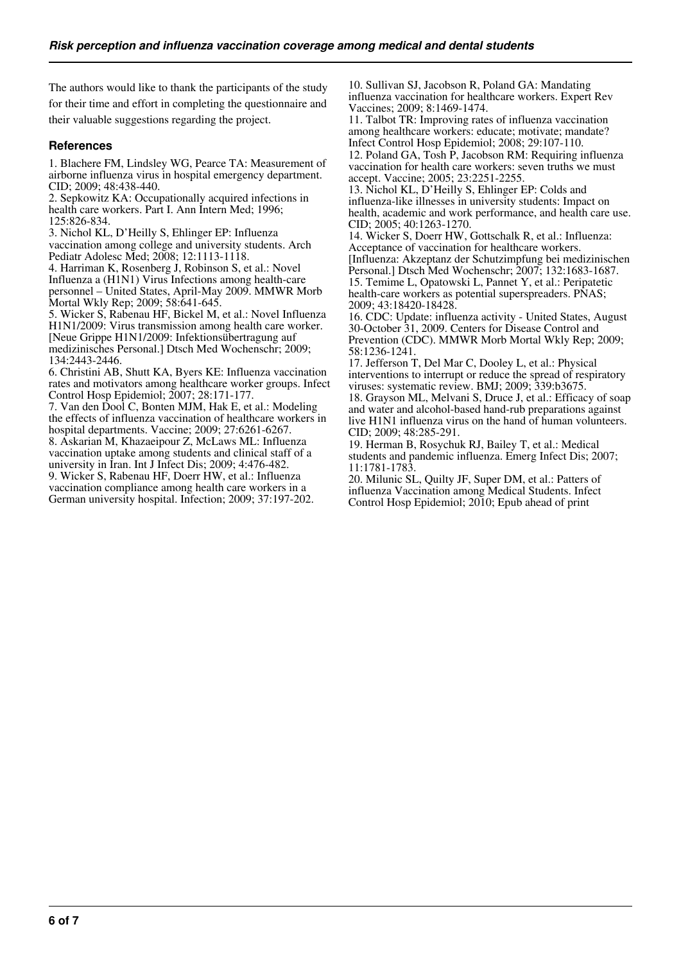The authors would like to thank the participants of the study for their time and effort in completing the questionnaire and their valuable suggestions regarding the project.

#### **References**

1. Blachere FM, Lindsley WG, Pearce TA: Measurement of airborne influenza virus in hospital emergency department. CID; 2009; 48:438-440.

2. Sepkowitz KA: Occupationally acquired infections in health care workers. Part I. Ann Intern Med; 1996; 125:826-834.

3. Nichol KL, D'Heilly S, Ehlinger EP: Influenza vaccination among college and university students. Arch Pediatr Adolesc Med; 2008; 12:1113-1118.

4. Harriman K, Rosenberg J, Robinson S, et al.: Novel Influenza a (H1N1) Virus Infections among health-care personnel – United States, April-May 2009. MMWR Morb Mortal Wkly Rep; 2009; 58:641-645.

5. Wicker S, Rabenau HF, Bickel M, et al.: Novel Influenza H1N1/2009: Virus transmission among health care worker. [Neue Grippe H1N1/2009: Infektionsübertragung auf medizinisches Personal.] Dtsch Med Wochenschr; 2009; 134:2443-2446.

6. Christini AB, Shutt KA, Byers KE: Influenza vaccination rates and motivators among healthcare worker groups. Infect Control Hosp Epidemiol; 2007; 28:171-177.

7. Van den Dool C, Bonten MJM, Hak E, et al.: Modeling the effects of influenza vaccination of healthcare workers in hospital departments. Vaccine; 2009; 27:6261-6267. 8. Askarian M, Khazaeipour Z, McLaws ML: Influenza

vaccination uptake among students and clinical staff of a university in Iran. Int J Infect Dis; 2009; 4:476-482. 9. Wicker S, Rabenau HF, Doerr HW, et al.: Influenza

vaccination compliance among health care workers in a German university hospital. Infection; 2009; 37:197-202.

10. Sullivan SJ, Jacobson R, Poland GA: Mandating influenza vaccination for healthcare workers. Expert Rev Vaccines; 2009; 8:1469-1474.

11. Talbot TR: Improving rates of influenza vaccination among healthcare workers: educate; motivate; mandate? Infect Control Hosp Epidemiol; 2008; 29:107-110. 12. Poland GA, Tosh P, Jacobson RM: Requiring influenza

vaccination for health care workers: seven truths we must accept. Vaccine; 2005; 23:2251-2255.

13. Nichol KL, D'Heilly S, Ehlinger EP: Colds and influenza-like illnesses in university students: Impact on health, academic and work performance, and health care use. CID; 2005; 40:1263-1270.

14. Wicker S, Doerr HW, Gottschalk R, et al.: Influenza: Acceptance of vaccination for healthcare workers. [Influenza: Akzeptanz der Schutzimpfung bei medizinischen Personal.] Dtsch Med Wochenschr; 2007; 132:1683-1687. 15. Temime L, Opatowski L, Pannet Y, et al.: Peripatetic health-care workers as potential superspreaders. PNAS; 2009; 43:18420-18428.

16. CDC: Update: influenza activity - United States, August 30-October 31, 2009. Centers for Disease Control and Prevention (CDC). MMWR Morb Mortal Wkly Rep; 2009; 58:1236-1241.

17. Jefferson T, Del Mar C, Dooley L, et al.: Physical interventions to interrupt or reduce the spread of respiratory viruses: systematic review. BMJ; 2009; 339:b3675.

18. Grayson ML, Melvani S, Druce J, et al.: Efficacy of soap and water and alcohol-based hand-rub preparations against live H1N1 influenza virus on the hand of human volunteers. CID; 2009; 48:285-291.

19. Herman B, Rosychuk RJ, Bailey T, et al.: Medical students and pandemic influenza. Emerg Infect Dis; 2007; 11:1781-1783.

20. Milunic SL, Quilty JF, Super DM, et al.: Patters of influenza Vaccination among Medical Students. Infect Control Hosp Epidemiol; 2010; Epub ahead of print